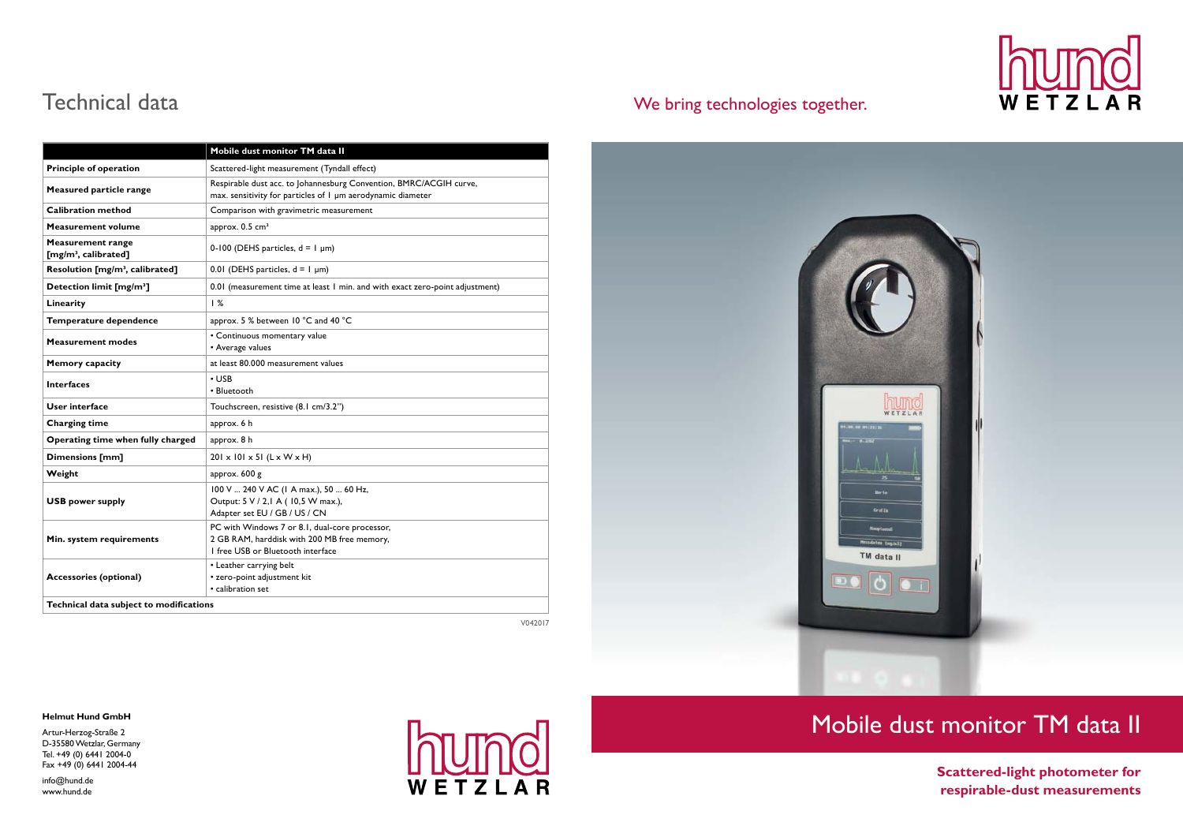## Mobile dust monitor TM data II

|                                                              | Mobile dust monitor TM data II                                                                                                     |
|--------------------------------------------------------------|------------------------------------------------------------------------------------------------------------------------------------|
| <b>Principle of operation</b>                                | Scattered-light measurement (Tyndall effect)                                                                                       |
| Measured particle range                                      | Respirable dust acc. to Johannesburg Convention, BMRC/ACGIH curve,<br>max. sensitivity for particles of I µm aerodynamic diameter  |
| <b>Calibration method</b>                                    | Comparison with gravimetric measurement                                                                                            |
| <b>Measurement volume</b>                                    | approx. 0.5 cm <sup>3</sup>                                                                                                        |
| <b>Measurement range</b><br>[mg/m <sup>3</sup> , calibrated] | 0-100 (DEHS particles, $d = 1 \mu m$ )                                                                                             |
| Resolution [mg/m <sup>3</sup> , calibrated]                  | 0.01 (DEHS particles, $d = 1$ µm)                                                                                                  |
| Detection limit [mg/m <sup>3</sup> ]                         | 0.01 (measurement time at least 1 min. and with exact zero-point adjustment)                                                       |
| Linearity                                                    | 1%                                                                                                                                 |
| Temperature dependence                                       | approx. 5 % between 10 °C and 40 °C                                                                                                |
| <b>Measurement modes</b>                                     | • Continuous momentary value<br>• Average values                                                                                   |
| <b>Memory capacity</b>                                       | at least 80.000 measurement values                                                                                                 |
| <b>Interfaces</b>                                            | $\cdot$ USB<br>• Bluetooth                                                                                                         |
| User interface                                               | Touchscreen, resistive (8.1 cm/3.2")                                                                                               |
| <b>Charging time</b>                                         | approx. 6 h                                                                                                                        |
| Operating time when fully charged                            | approx. 8 h                                                                                                                        |
| <b>Dimensions [mm]</b>                                       | $201 \times 101 \times 51$ (L x W x H)                                                                                             |
| Weight                                                       | approx. 600 g                                                                                                                      |
| <b>USB power supply</b>                                      | 100 V  240 V AC (1 A max.), 50  60 Hz,<br>Output: 5 V / 2,1 A (10,5 W max.),<br>Adapter set EU / GB / US / CN                      |
| Min. system requirements                                     | PC with Windows 7 or 8.1, dual-core processor,<br>2 GB RAM, harddisk with 200 MB free memory,<br>I free USB or Bluetooth interface |
| <b>Accessories (optional)</b>                                | • Leather carrying belt<br>• zero-point adjustment kit<br>• calibration set                                                        |
| Technical data subject to modifications                      |                                                                                                                                    |

Artur-Herzog-Straße 2 D-35580 Wetzlar, Germany Tel. +49 (0) 6441 2004-0 Fax +49  $(0)$  6441 2004-44

**Scattered-light photometer for respirable-dust measurements**

#### **Helmut Hund GmbH**

info@hund.de www.hund.de



### Technical data We bring technologies together.







V042017